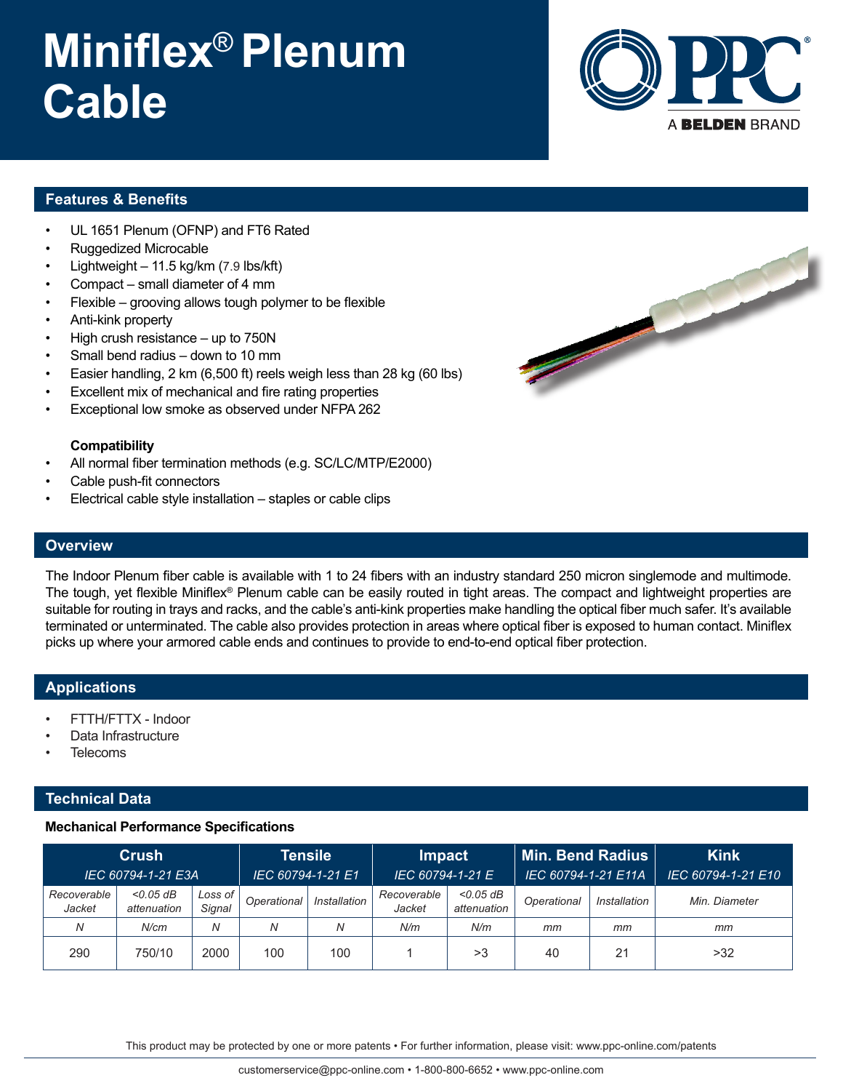# **Miniflex**® **Plenum Cable**



### **Features & Benefits**

- UL 1651 Plenum (OFNP) and FT6 Rated
- Ruggedized Microcable
- Lightweight  $-11.5$  kg/km (7.9 lbs/kft)
- Compact small diameter of 4 mm
- Flexible grooving allows tough polymer to be flexible
- Anti-kink property
- High crush resistance  $-$  up to 750N
- Small bend radius down to 10 mm
- Easier handling, 2 km (6,500 ft) reels weigh less than 28 kg (60 lbs)
- Excellent mix of mechanical and fire rating properties
- Exceptional low smoke as observed under NFPA 262

#### **Compatibility**

- All normal fiber termination methods (e.g. SC/LC/MTP/E2000)
- Cable push-fit connectors
- Electrical cable style installation staples or cable clips



### **Overview**

The Indoor Plenum fiber cable is available with 1 to 24 fibers with an industry standard 250 micron singlemode and multimode. The tough, yet flexible Miniflex® Plenum cable can be easily routed in tight areas. The compact and lightweight properties are suitable for routing in trays and racks, and the cable's anti-kink properties make handling the optical fiber much safer. It's available terminated or unterminated. The cable also provides protection in areas where optical fiber is exposed to human contact. Miniflex picks up where your armored cable ends and continues to provide to end-to-end optical fiber protection.

#### **Applications**

- FTTH/FTTX Indoor
- Data Infrastructure
- **Telecoms**

### **Technical Data**

#### **Mechanical Performance Specifications**

| Crush<br>IEC 60794-1-21 E3A |                            |                   | <b>Tensile</b><br>IEC 60794-1-21 E1 |              | <b>Impact</b><br>IEC 60794-1-21 E |                            | $\mid$ Min. Bend Radius $\mid$<br>IEC 60794-1-21 E11A |              | <b>Kink</b><br>IEC 60794-1-21 E10 |
|-----------------------------|----------------------------|-------------------|-------------------------------------|--------------|-----------------------------------|----------------------------|-------------------------------------------------------|--------------|-----------------------------------|
| Recoverable<br>Jacket       | $<$ 0.05 dB<br>attenuation | Loss of<br>Signal | Operational                         | Installation | Recoverable<br>Jacket             | $<$ 0.05 dB<br>attenuation | Operational                                           | Installation | Min. Diameter                     |
| N                           | N/cm                       | Ν                 | Ν                                   | N            | N/m                               | N/m                        | mm                                                    | mm           | mm                                |
| 290                         | 750/10                     | 2000              | 100                                 | 100          |                                   | >3                         | 40                                                    | 21           | >32                               |

This product may be protected by one or more patents • For further information, please visit: www.ppc-online.com/patents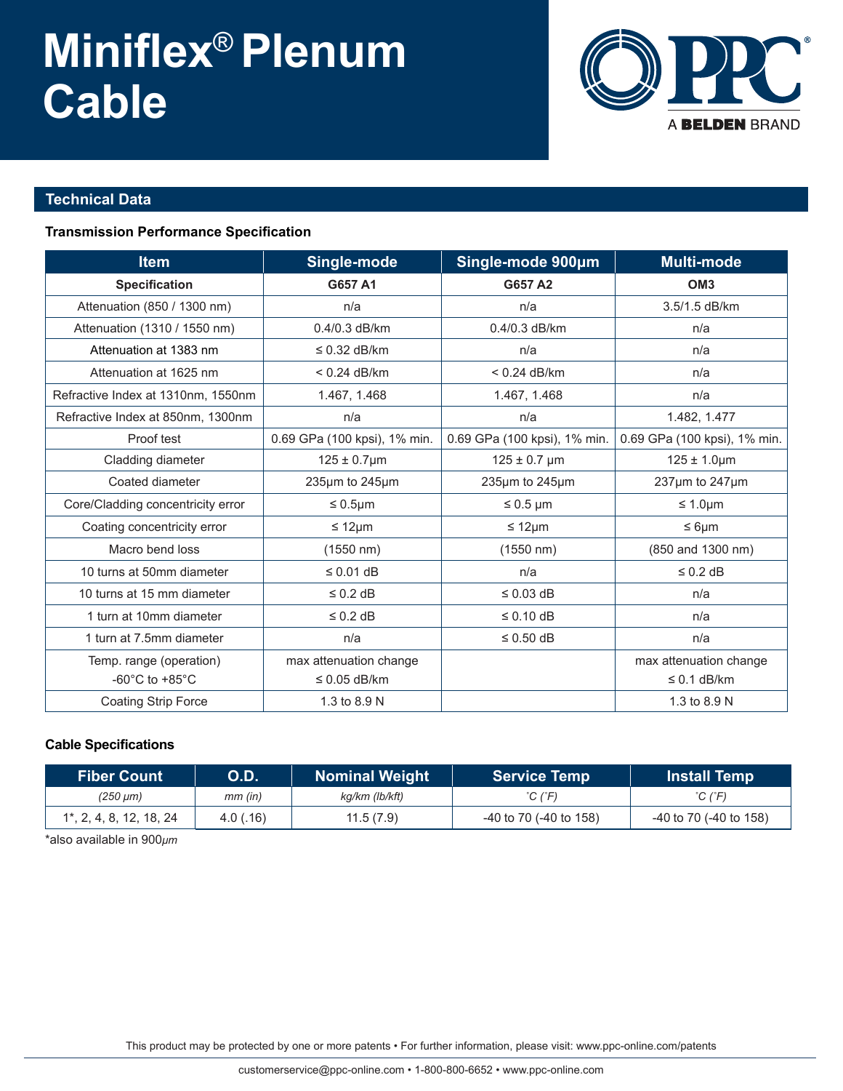# **Miniflex**® **Plenum Cable**



## **Technical Data**

### **Transmission Performance Specification**

| <b>Item</b>                          | Single-mode                  | Single-mode 900um            | Multi-mode                   |  |
|--------------------------------------|------------------------------|------------------------------|------------------------------|--|
| <b>Specification</b>                 | G657 A1                      | G657 A2                      | OM <sub>3</sub>              |  |
| Attenuation (850 / 1300 nm)          | n/a                          | n/a                          | 3.5/1.5 dB/km                |  |
| Attenuation (1310 / 1550 nm)         | $0.4/0.3$ dB/km              | 0.4/0.3 dB/km                | n/a                          |  |
| Attenuation at 1383 nm               | $\leq$ 0.32 dB/km            | n/a                          | n/a                          |  |
| Attenuation at 1625 nm               | $< 0.24$ dB/km               | $< 0.24$ dB/km               | n/a                          |  |
| Refractive Index at 1310nm, 1550nm   | 1.467, 1.468                 | 1.467, 1.468                 | n/a                          |  |
| Refractive Index at 850nm, 1300nm    | n/a                          | n/a                          | 1.482, 1.477                 |  |
| Proof test                           | 0.69 GPa (100 kpsi), 1% min. | 0.69 GPa (100 kpsi), 1% min. | 0.69 GPa (100 kpsi), 1% min. |  |
| Cladding diameter                    | $125 \pm 0.7 \mu m$          | $125 \pm 0.7$ µm             | $125 \pm 1.0 \mu m$          |  |
| Coated diameter                      | 235µm to 245µm               | 235µm to 245µm               | $237 \mu m$ to $247 \mu m$   |  |
| Core/Cladding concentricity error    | $\leq 0.5$ µm                | $\leq 0.5$ µm                | $\leq 1.0 \mu m$             |  |
| Coating concentricity error          | ≤ 12 $µm$                    | $\leq 12 \mu m$              | $\leq 6 \mu m$               |  |
| Macro bend loss                      | $(1550 \; nm)$               | (1550 nm)                    | (850 and 1300 nm)            |  |
| 10 turns at 50mm diameter            | $\leq$ 0.01 dB               | n/a                          | $\leq$ 0.2 dB                |  |
| 10 turns at 15 mm diameter           | $\leq$ 0.2 dB                | $\leq$ 0.03 dB               | n/a                          |  |
| 1 turn at 10mm diameter              | $\leq$ 0.2 dB                | $\leq 0.10$ dB               | n/a                          |  |
| 1 turn at 7.5mm diameter             | n/a                          | $\leq$ 0.50 dB               | n/a                          |  |
| Temp. range (operation)              | max attenuation change       |                              | max attenuation change       |  |
| -60 $^{\circ}$ C to +85 $^{\circ}$ C | $\leq$ 0.05 dB/km            |                              | $\leq$ 0.1 dB/km             |  |
| <b>Coating Strip Force</b>           | 1.3 to 8.9 N                 |                              | 1.3 to 8.9 N                 |  |

### **Cable Specifications**

| <b>Fiber Count</b>          | <b>O.D.</b> | <b>Nominal Weight</b> | <b>Service Temp</b>    | <b>Install Temp</b>          |  |
|-----------------------------|-------------|-----------------------|------------------------|------------------------------|--|
| (250 µm)                    | $mm$ (in)   | kg/km (lb/kft)        | °C (°F)                | $^{\circ}$ C ( $^{\circ}$ F) |  |
| $1^*$ , 2, 4, 8, 12, 18, 24 | 4.0(0.16)   | 11.5(7.9)             | -40 to 70 (-40 to 158) | -40 to 70 (-40 to 158)       |  |

\*also available in 900*μm*

This product may be protected by one or more patents • For further information, please visit: www.ppc-online.com/patents